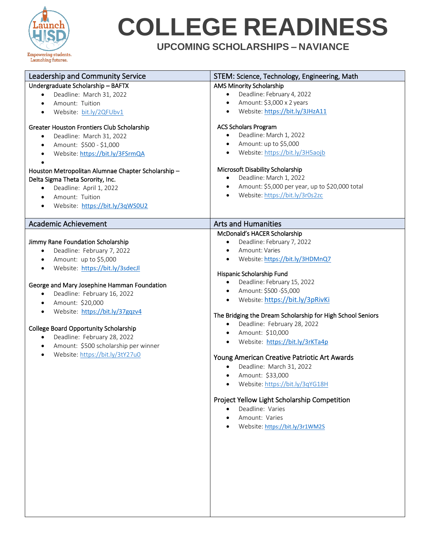

# **COLLEGE READINESS**

**UPCOMING SCHOLARSHIPS – NAVIANCE**

| Leadership and Community Service                                                     | STEM: Science, Technology, Engineering, Math                             |
|--------------------------------------------------------------------------------------|--------------------------------------------------------------------------|
| Undergraduate Scholarship - BAFTX                                                    | <b>AMS Minority Scholarship</b>                                          |
| Deadline: March 31, 2022                                                             | Deadline: February 4, 2022<br>$\bullet$                                  |
| Amount: Tuition                                                                      | Amount: \$3,000 x 2 years<br>$\bullet$                                   |
| Website: bit.ly/2QFUbv1<br>$\bullet$                                                 | Website: https://bit.ly/3JHzA11<br>$\bullet$                             |
| Greater Houston Frontiers Club Scholarship                                           | <b>ACS Scholars Program</b>                                              |
| Deadline: March 31, 2022<br>$\bullet$                                                | Deadline: March 1, 2022<br>$\bullet$                                     |
| Amount: \$500 - \$1,000<br>$\bullet$                                                 | Amount: up to \$5,000<br>$\bullet$                                       |
| Website: https://bit.ly/3FSrmQA<br>$\bullet$                                         | Website: https://bit.ly/3H5aojb<br>$\bullet$                             |
|                                                                                      |                                                                          |
| Houston Metropolitan Alumnae Chapter Scholarship-                                    | Microsoft Disability Scholarship<br>Deadline: March 1, 2022<br>$\bullet$ |
| Delta Sigma Theta Sorority, Inc.                                                     | Amount: \$5,000 per year, up to \$20,000 total                           |
| Deadline: April 1, 2022                                                              | $\bullet$                                                                |
| Amount: Tuition<br>$\bullet$                                                         | Website: https://bit.ly/3r0s2zc<br>$\bullet$                             |
| Website: https://bit.ly/3qWS0U2<br>$\bullet$                                         |                                                                          |
| <b>Academic Achievement</b>                                                          | <b>Arts and Humanities</b>                                               |
|                                                                                      | McDonald's HACER Scholarship                                             |
| Jimmy Rane Foundation Scholarship                                                    | Deadline: February 7, 2022<br>$\bullet$                                  |
| Deadline: February 7, 2022<br>$\bullet$                                              | Amount: Varies<br>$\bullet$                                              |
| Amount: up to \$5,000<br>$\bullet$                                                   | Website: https://bit.ly/3HDMnQ7<br>$\bullet$                             |
| Website: https://bit.ly/3sdecJl<br>$\bullet$                                         |                                                                          |
|                                                                                      | Hispanic Scholarship Fund                                                |
| George and Mary Josephine Hamman Foundation                                          | Deadline: February 15, 2022<br>$\bullet$                                 |
| Deadline: February 16, 2022<br>$\bullet$                                             | Amount: \$500 -\$5,000<br>$\bullet$                                      |
| Amount: \$20,000<br>$\bullet$                                                        | Website: https://bit.ly/3pRivKi<br>$\bullet$                             |
| Website: https://bit.ly/37gqzv4<br>$\bullet$                                         | The Bridging the Dream Scholarship for High School Seniors               |
|                                                                                      | Deadline: February 28, 2022<br>$\bullet$                                 |
| <b>College Board Opportunity Scholarship</b>                                         | Amount: \$10,000<br>$\bullet$                                            |
| Deadline: February 28, 2022                                                          | Website: https://bit.ly/3rKTa4p<br>$\bullet$                             |
| Amount: \$500 scholarship per winner<br>$\bullet$<br>Website: https://bit.ly/3tY27u0 |                                                                          |
| $\bullet$                                                                            | Young American Creative Patriotic Art Awards                             |
|                                                                                      | Deadline: March 31, 2022<br>$\bullet$                                    |
|                                                                                      | Amount: \$33,000<br>$\bullet$                                            |
|                                                                                      | Website: https://bit.ly/3qYG18H                                          |
|                                                                                      | Project Yellow Light Scholarship Competition                             |
|                                                                                      | Deadline: Varies                                                         |
|                                                                                      | Amount: Varies                                                           |
|                                                                                      | Website: https://bit.ly/3r1WM2S                                          |
|                                                                                      |                                                                          |
|                                                                                      |                                                                          |
|                                                                                      |                                                                          |
|                                                                                      |                                                                          |
|                                                                                      |                                                                          |
|                                                                                      |                                                                          |
|                                                                                      |                                                                          |
|                                                                                      |                                                                          |
|                                                                                      |                                                                          |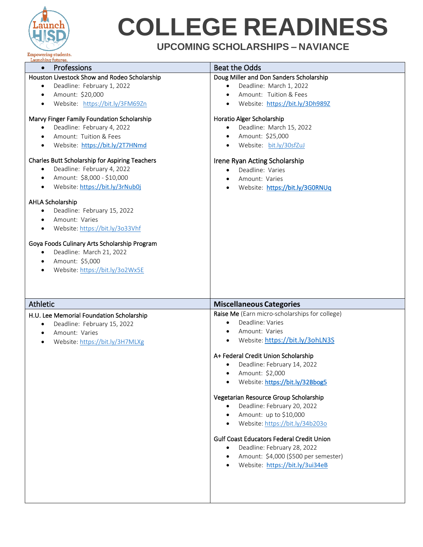

# **COLLEGE READINESS**

### **UPCOMING SCHOLARSHIPS – NAVIANCE**

| Launching futures.                                                                                                                                                                                                                                                                                                                                                                                                                                                                                                                                                                                                                                                                                                                                                                                                  |                                                                                                                                                                                                                                                                                                                                                                                                                                                                                                                                                                     |
|---------------------------------------------------------------------------------------------------------------------------------------------------------------------------------------------------------------------------------------------------------------------------------------------------------------------------------------------------------------------------------------------------------------------------------------------------------------------------------------------------------------------------------------------------------------------------------------------------------------------------------------------------------------------------------------------------------------------------------------------------------------------------------------------------------------------|---------------------------------------------------------------------------------------------------------------------------------------------------------------------------------------------------------------------------------------------------------------------------------------------------------------------------------------------------------------------------------------------------------------------------------------------------------------------------------------------------------------------------------------------------------------------|
| Professions<br>$\bullet$                                                                                                                                                                                                                                                                                                                                                                                                                                                                                                                                                                                                                                                                                                                                                                                            | <b>Beat the Odds</b>                                                                                                                                                                                                                                                                                                                                                                                                                                                                                                                                                |
| Houston Livestock Show and Rodeo Scholarship<br>Deadline: February 1, 2022<br>$\bullet$<br>Amount: \$20,000<br>$\bullet$<br>Website: https://bit.ly/3FM69Zn<br>٠<br>Marvy Finger Family Foundation Scholarship<br>Deadline: February 4, 2022<br>Amount: Tuition & Fees<br>Website: https://bit.ly/2T7HNmd<br><b>Charles Butt Scholarship for Aspiring Teachers</b><br>Deadline: February 4, 2022<br>$\bullet$<br>Amount: \$8,000 - \$10,000<br>$\bullet$<br>Website: https://bit.ly/3rNub0j<br>$\bullet$<br>AHLA Scholarship<br>Deadline: February 15, 2022<br>$\bullet$<br>Amount: Varies<br>Website: https://bit.ly/3o33Vhf<br>$\bullet$<br>Goya Foods Culinary Arts Scholarship Program<br>Deadline: March 21, 2022<br>$\bullet$<br>Amount: \$5,000<br>$\bullet$<br>Website: https://bit.ly/3o2Wx5E<br>$\bullet$ | Doug Miller and Don Sanders Scholarship<br>Deadline: March 1, 2022<br>$\bullet$<br>Amount: Tuition & Fees<br>Website: https://bit.ly/3Dh989Z<br>Horatio Alger Scholarship<br>Deadline: March 15, 2022<br>Amount: \$25,000<br>Website: bit.ly/30sfZuJ<br>Irene Ryan Acting Scholarship<br>Deadline: Varies<br>Amount: Varies<br>$\bullet$<br>Website: https://bit.ly/3G0RNUq                                                                                                                                                                                         |
| Athletic                                                                                                                                                                                                                                                                                                                                                                                                                                                                                                                                                                                                                                                                                                                                                                                                            | <b>Miscellaneous Categories</b>                                                                                                                                                                                                                                                                                                                                                                                                                                                                                                                                     |
| H.U. Lee Memorial Foundation Scholarship<br>Deadline: February 15, 2022<br>$\bullet$<br>Amount: Varies<br>$\bullet$<br>Website: https://bit.ly/3H7MLXg                                                                                                                                                                                                                                                                                                                                                                                                                                                                                                                                                                                                                                                              | Raise Me (Earn micro-scholarships for college)<br>Deadline: Varies<br>Amount: Varies<br>Website: https://bit.ly/3ohLN3S<br>$\bullet$<br>A+ Federal Credit Union Scholarship<br>Deadline: February 14, 2022<br>Amount: \$2,000<br>Website: https://bit.ly/32Bbog5<br>Vegetarian Resource Group Scholarship<br>Deadline: February 20, 2022<br>Amount: up to \$10,000<br>Website: https://bit.ly/34b203o<br><b>Gulf Coast Educators Federal Credit Union</b><br>Deadline: February 28, 2022<br>Amount: \$4,000 (\$500 per semester)<br>Website: https://bit.ly/3ui34eB |